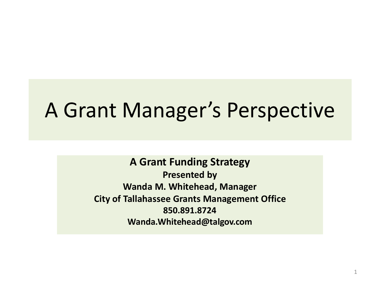#### A Grant Manager's Perspective

**A Grant Funding Strategy Presented by Wanda M. Whitehead, Manager City of Tallahassee Grants Management Office 850.891.8724 Wanda.Whitehead@talgov.com**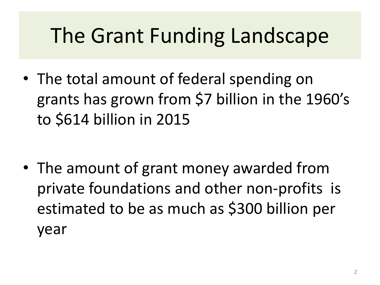## The Grant Funding Landscape

• The total amount of federal spending on grants has grown from \$7 billion in the 1960's to \$614 billion in 2015

• The amount of grant money awarded from private foundations and other non-profits is estimated to be as much as \$300 billion per year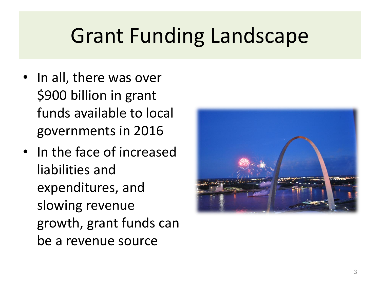#### Grant Funding Landscape

- In all, there was over \$900 billion in grant funds available to local governments in 2016
- In the face of increased liabilities and expenditures, and slowing revenue growth, grant funds can be a revenue source

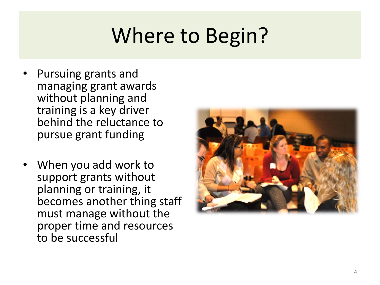# Where to Begin?

- Pursuing grants and managing grant awards without planning and training is a key driver behind the reluctance to pursue grant funding
- When you add work to support grants without planning or training, it becomes another thing staff must manage without the proper time and resources to be successful

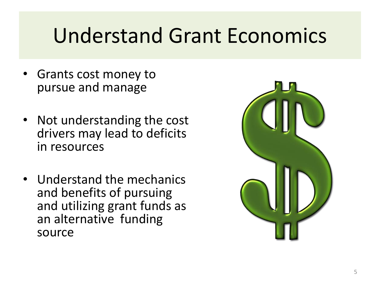#### Understand Grant Economics

- Grants cost money to pursue and manage
- Not understanding the cost drivers may lead to deficits in resources
- Understand the mechanics and benefits of pursuing and utilizing grant funds as an alternative funding source

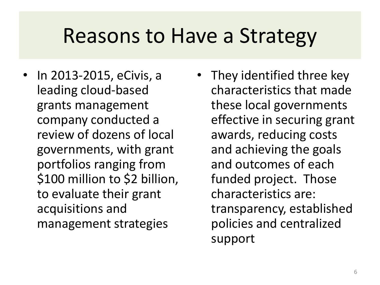#### Reasons to Have a Strategy

- In 2013-2015, eCivis, a leading cloud-based grants management company conducted a review of dozens of local governments, with grant portfolios ranging from \$100 million to \$2 billion, to evaluate their grant acquisitions and management strategies
- They identified three key characteristics that made these local governments effective in securing grant awards, reducing costs and achieving the goals and outcomes of each funded project. Those characteristics are: transparency, established policies and centralized support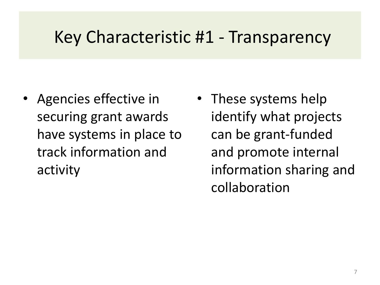#### Key Characteristic #1 - Transparency

- Agencies effective in securing grant awards have systems in place to track information and activity
- These systems help identify what projects can be grant-funded and promote internal information sharing and collaboration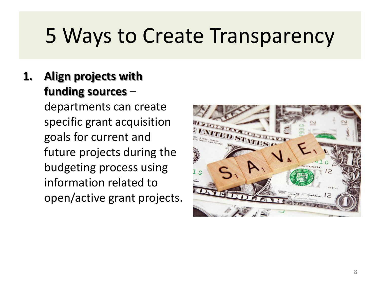#### **1. Align projects with funding sources** –

departments can create specific grant acquisition goals for current and future projects during the budgeting process using information related to open/active grant projects.

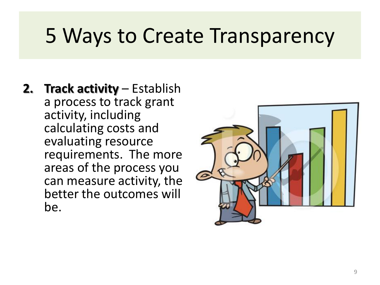**2. Track activity** – Establish a process to track grant activity, including calculating costs and evaluating resource requirements. The more areas of the process you can measure activity, the better the outcomes will be.

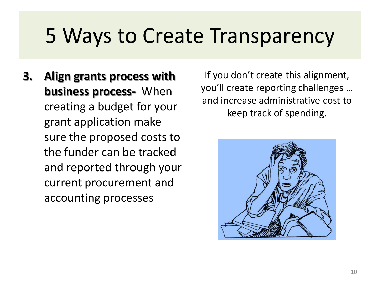**3. Align grants process with business process-** When creating a budget for your grant application make sure the proposed costs to the funder can be tracked and reported through your current procurement and accounting processes

If you don't create this alignment, you'll create reporting challenges … and increase administrative cost to keep track of spending.

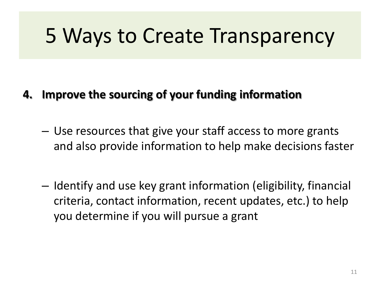#### **4. Improve the sourcing of your funding information**

- Use resources that give your staff access to more grants and also provide information to help make decisions faster
- Identify and use key grant information (eligibility, financial criteria, contact information, recent updates, etc.) to help you determine if you will pursue a grant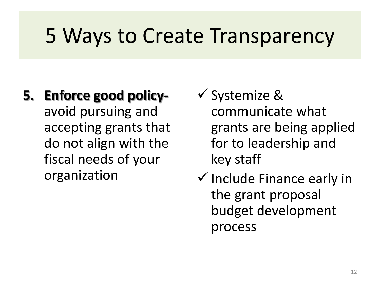- **5. Enforce good policy**avoid pursuing and accepting grants that do not align with the fiscal needs of your organization
- $\checkmark$  Systemize & communicate what grants are being applied for to leadership and key staff
- $\checkmark$  Include Finance early in the grant proposal budget development process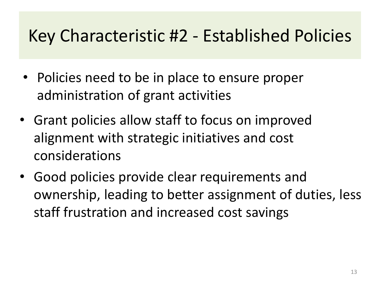#### Key Characteristic #2 - Established Policies

- Policies need to be in place to ensure proper administration of grant activities
- Grant policies allow staff to focus on improved alignment with strategic initiatives and cost considerations
- Good policies provide clear requirements and ownership, leading to better assignment of duties, less staff frustration and increased cost savings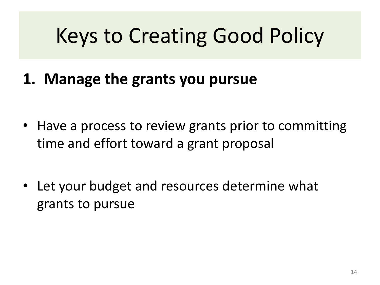## Keys to Creating Good Policy

**1. Manage the grants you pursue**

- Have a process to review grants prior to committing time and effort toward a grant proposal
- Let your budget and resources determine what grants to pursue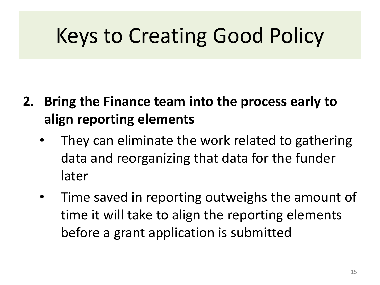## Keys to Creating Good Policy

- **2. Bring the Finance team into the process early to align reporting elements**
	- They can eliminate the work related to gathering data and reorganizing that data for the funder later
	- Time saved in reporting outweighs the amount of time it will take to align the reporting elements before a grant application is submitted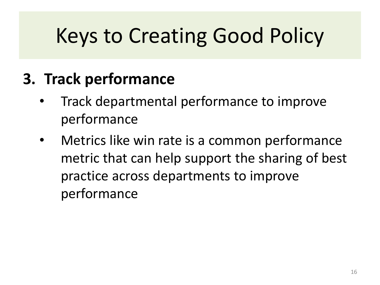# Keys to Creating Good Policy

#### **3. Track performance**

- Track departmental performance to improve performance
- Metrics like win rate is a common performance metric that can help support the sharing of best practice across departments to improve performance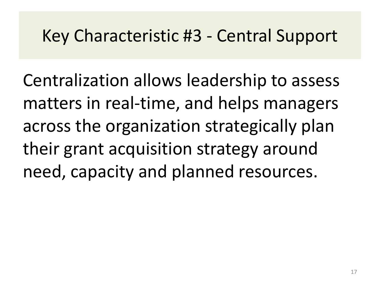#### Key Characteristic #3 - Central Support

Centralization allows leadership to assess matters in real-time, and helps managers across the organization strategically plan their grant acquisition strategy around need, capacity and planned resources.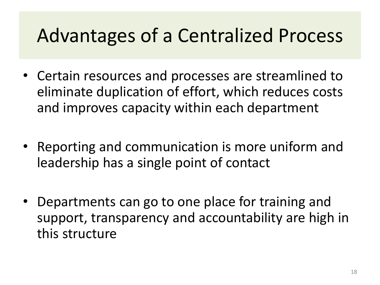#### Advantages of a Centralized Process

- Certain resources and processes are streamlined to eliminate duplication of effort, which reduces costs and improves capacity within each department
- Reporting and communication is more uniform and leadership has a single point of contact
- Departments can go to one place for training and support, transparency and accountability are high in this structure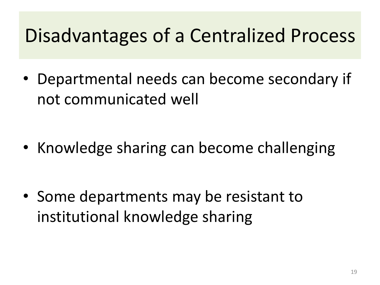#### Disadvantages of a Centralized Process

• Departmental needs can become secondary if not communicated well

• Knowledge sharing can become challenging

• Some departments may be resistant to institutional knowledge sharing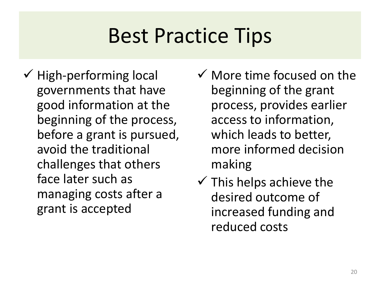## Best Practice Tips

- $\checkmark$  High-performing local governments that have good information at the beginning of the process, before a grant is pursued, avoid the traditional challenges that others face later such as managing costs after a grant is accepted
- $\checkmark$  More time focused on the beginning of the grant process, provides earlier access to information, which leads to better, more informed decision making
- $\checkmark$  This helps achieve the desired outcome of increased funding and reduced costs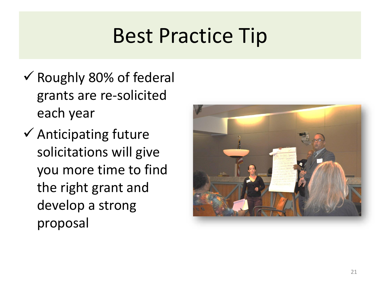## Best Practice Tip

- $\checkmark$  Roughly 80% of federal grants are re-solicited each year
- $\checkmark$  Anticipating future solicitations will give you more time to find the right grant and develop a strong proposal

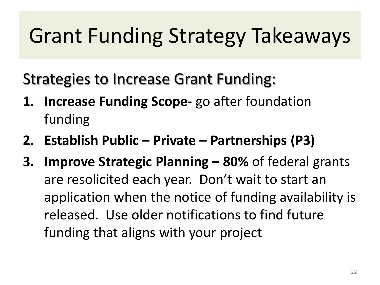# Grant Funding Strategy Takeaways

Strategies to Increase Grant Funding:

- **1. Increase Funding Scope-** go after foundation funding
- **2. Establish Public – Private – Partnerships (P3)**
- **3. Improve Strategic Planning – 80%** of federal grants are resolicited each year. Don't wait to start an application when the notice of funding availability is released. Use older notifications to find future funding that aligns with your project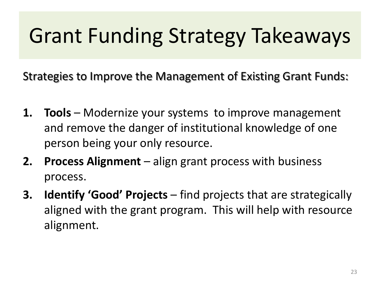# Grant Funding Strategy Takeaways

Strategies to Improve the Management of Existing Grant Funds:

- **1. Tools** Modernize your systems to improve management and remove the danger of institutional knowledge of one person being your only resource.
- **2. Process Alignment**  align grant process with business process.
- **3. Identify 'Good' Projects**  find projects that are strategically aligned with the grant program. This will help with resource alignment.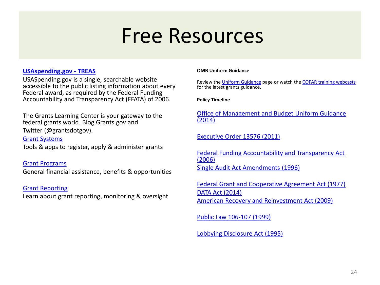#### Free Resources

#### **[USAspending.gov -](http://www.usaspending.gov/) TREAS**

USASpending.gov is a single, searchable website accessible to the public listing information about every Federal award, as required by the Federal Funding Accountability and Transparency Act (FFATA) of 2006.

The Grants Learning Center is your gateway to the federal grants world. Blog.Grants.gov and

Twitter (@grantsdotgov).

[Grant Systems](https://www.grants.gov/web/grants/learn-grants/grant-systems.html)

Tools & apps to register, apply & administer grants

[Grant Programs](https://www.grants.gov/web/grants/learn-grants/grant-programs.html) General financial assistance, benefits & opportunities

[Grant Reporting](https://www.grants.gov/web/grants/learn-grants/grant-reporting.html)

Learn about grant reporting, monitoring & oversight

#### **OMB Uniform Guidance**

Review the [Uniform Guidance](https://www.grants.gov/web/grants/learn-grants/grant-policies/omb-uniform-guidance-2014.html) page or watch the [COFAR training webcasts](https://cfo.gov/cofar/#COFAR2CFR200) for the latest grants guidance.

**Policy Timeline**

[Office of Management and Budget Uniform Guidance](https://www.grants.gov/web/grants/learn-grants/grant-policies/omb-uniform-guidance-2014.html)  (2014)

[Executive Order 13576 \(2011\)](https://www.grants.gov/web/grants/learn-grants/grant-policies/executive-order-13576-2011.html)

[Federal Funding Accountability and Transparency Act](https://www.grants.gov/web/grants/learn-grants/grant-policies/ffata-act-2006.html)  (2006) [Single Audit Act Amendments \(1996\)](https://www.grants.gov/web/grants/learn-grants/grant-policies/single-audit-act-amendments-1996.html)

[Federal Grant and Cooperative Agreement Act \(1977\)](https://www.grants.gov/web/grants/learn-grants/grant-policies/federal-grant-cooperative-agreement-act-1977.html) [DATA Act \(2014\)](https://www.grants.gov/web/grants/learn-grants/grant-policies/data-act-2014.html) [American Recovery and Reinvestment Act \(2009\)](https://www.grants.gov/web/grants/learn-grants/grant-policies/recovery-act-2009.html)

[Public Law 106-107 \(1999\)](https://www.grants.gov/web/grants/learn-grants/grant-policies/public-law-106-107-1999.html)

[Lobbying Disclosure Act \(1995\)](https://www.grants.gov/web/grants/learn-grants/grant-policies/lobbying-disclosure-act-1995.html)